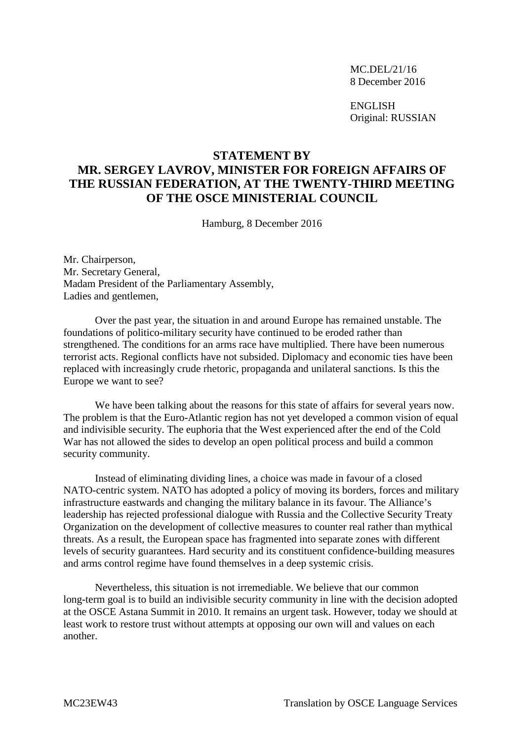MC.DEL/21/16 8 December 2016

ENGLISH Original: RUSSIAN

## **STATEMENT BY MR. SERGEY LAVROV, MINISTER FOR FOREIGN AFFAIRS OF THE RUSSIAN FEDERATION, AT THE TWENTY-THIRD MEETING OF THE OSCE MINISTERIAL COUNCIL**

Hamburg, 8 December 2016

Mr. Chairperson, Mr. Secretary General, Madam President of the Parliamentary Assembly, Ladies and gentlemen,

Over the past year, the situation in and around Europe has remained unstable. The foundations of politico-military security have continued to be eroded rather than strengthened. The conditions for an arms race have multiplied. There have been numerous terrorist acts. Regional conflicts have not subsided. Diplomacy and economic ties have been replaced with increasingly crude rhetoric, propaganda and unilateral sanctions. Is this the Europe we want to see?

We have been talking about the reasons for this state of affairs for several years now. The problem is that the Euro-Atlantic region has not yet developed a common vision of equal and indivisible security. The euphoria that the West experienced after the end of the Cold War has not allowed the sides to develop an open political process and build a common security community.

Instead of eliminating dividing lines, a choice was made in favour of a closed NATO-centric system. NATO has adopted a policy of moving its borders, forces and military infrastructure eastwards and changing the military balance in its favour. The Alliance's leadership has rejected professional dialogue with Russia and the Collective Security Treaty Organization on the development of collective measures to counter real rather than mythical threats. As a result, the European space has fragmented into separate zones with different levels of security guarantees. Hard security and its constituent confidence-building measures and arms control regime have found themselves in a deep systemic crisis.

Nevertheless, this situation is not irremediable. We believe that our common long-term goal is to build an indivisible security community in line with the decision adopted at the OSCE Astana Summit in 2010. It remains an urgent task. However, today we should at least work to restore trust without attempts at opposing our own will and values on each another.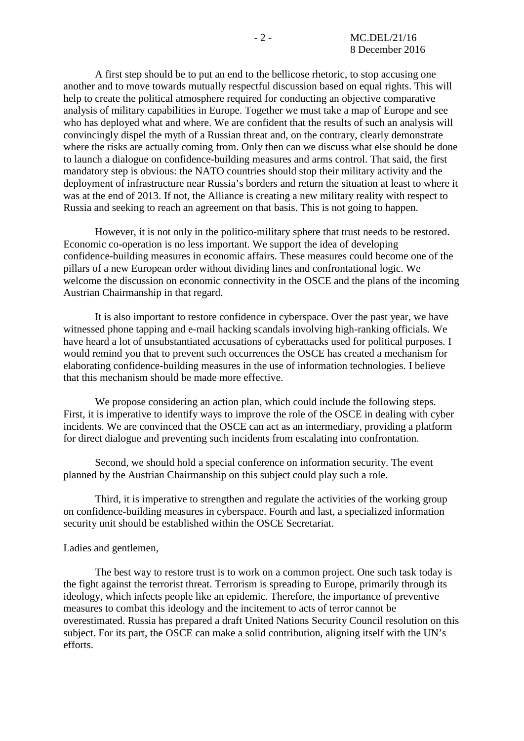A first step should be to put an end to the bellicose rhetoric, to stop accusing one another and to move towards mutually respectful discussion based on equal rights. This will help to create the political atmosphere required for conducting an objective comparative analysis of military capabilities in Europe. Together we must take a map of Europe and see who has deployed what and where. We are confident that the results of such an analysis will convincingly dispel the myth of a Russian threat and, on the contrary, clearly demonstrate where the risks are actually coming from. Only then can we discuss what else should be done to launch a dialogue on confidence-building measures and arms control. That said, the first mandatory step is obvious: the NATO countries should stop their military activity and the deployment of infrastructure near Russia's borders and return the situation at least to where it was at the end of 2013. If not, the Alliance is creating a new military reality with respect to Russia and seeking to reach an agreement on that basis. This is not going to happen.

However, it is not only in the politico-military sphere that trust needs to be restored. Economic co-operation is no less important. We support the idea of developing confidence-building measures in economic affairs. These measures could become one of the pillars of a new European order without dividing lines and confrontational logic. We welcome the discussion on economic connectivity in the OSCE and the plans of the incoming Austrian Chairmanship in that regard.

It is also important to restore confidence in cyberspace. Over the past year, we have witnessed phone tapping and e-mail hacking scandals involving high-ranking officials. We have heard a lot of unsubstantiated accusations of cyberattacks used for political purposes. I would remind you that to prevent such occurrences the OSCE has created a mechanism for elaborating confidence-building measures in the use of information technologies. I believe that this mechanism should be made more effective.

We propose considering an action plan, which could include the following steps. First, it is imperative to identify ways to improve the role of the OSCE in dealing with cyber incidents. We are convinced that the OSCE can act as an intermediary, providing a platform for direct dialogue and preventing such incidents from escalating into confrontation.

Second, we should hold a special conference on information security. The event planned by the Austrian Chairmanship on this subject could play such a role.

Third, it is imperative to strengthen and regulate the activities of the working group on confidence-building measures in cyberspace. Fourth and last, a specialized information security unit should be established within the OSCE Secretariat.

## Ladies and gentlemen,

The best way to restore trust is to work on a common project. One such task today is the fight against the terrorist threat. Terrorism is spreading to Europe, primarily through its ideology, which infects people like an epidemic. Therefore, the importance of preventive measures to combat this ideology and the incitement to acts of terror cannot be overestimated. Russia has prepared a draft United Nations Security Council resolution on this subject. For its part, the OSCE can make a solid contribution, aligning itself with the UN's efforts.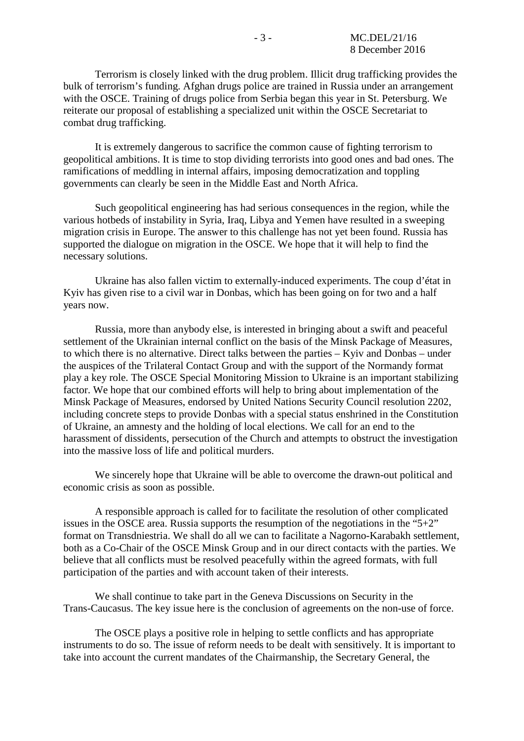Terrorism is closely linked with the drug problem. Illicit drug trafficking provides the bulk of terrorism's funding. Afghan drugs police are trained in Russia under an arrangement with the OSCE. Training of drugs police from Serbia began this year in St. Petersburg. We reiterate our proposal of establishing a specialized unit within the OSCE Secretariat to combat drug trafficking.

It is extremely dangerous to sacrifice the common cause of fighting terrorism to geopolitical ambitions. It is time to stop dividing terrorists into good ones and bad ones. The ramifications of meddling in internal affairs, imposing democratization and toppling governments can clearly be seen in the Middle East and North Africa.

Such geopolitical engineering has had serious consequences in the region, while the various hotbeds of instability in Syria, Iraq, Libya and Yemen have resulted in a sweeping migration crisis in Europe. The answer to this challenge has not yet been found. Russia has supported the dialogue on migration in the OSCE. We hope that it will help to find the necessary solutions.

Ukraine has also fallen victim to externally-induced experiments. The coup d'état in Kyiv has given rise to a civil war in Donbas, which has been going on for two and a half years now.

Russia, more than anybody else, is interested in bringing about a swift and peaceful settlement of the Ukrainian internal conflict on the basis of the Minsk Package of Measures, to which there is no alternative. Direct talks between the parties – Kyiv and Donbas – under the auspices of the Trilateral Contact Group and with the support of the Normandy format play a key role. The OSCE Special Monitoring Mission to Ukraine is an important stabilizing factor. We hope that our combined efforts will help to bring about implementation of the Minsk Package of Measures, endorsed by United Nations Security Council resolution 2202, including concrete steps to provide Donbas with a special status enshrined in the Constitution of Ukraine, an amnesty and the holding of local elections. We call for an end to the harassment of dissidents, persecution of the Church and attempts to obstruct the investigation into the massive loss of life and political murders.

We sincerely hope that Ukraine will be able to overcome the drawn-out political and economic crisis as soon as possible.

A responsible approach is called for to facilitate the resolution of other complicated issues in the OSCE area. Russia supports the resumption of the negotiations in the "5+2" format on Transdniestria. We shall do all we can to facilitate a Nagorno-Karabakh settlement, both as a Co-Chair of the OSCE Minsk Group and in our direct contacts with the parties. We believe that all conflicts must be resolved peacefully within the agreed formats, with full participation of the parties and with account taken of their interests.

We shall continue to take part in the Geneva Discussions on Security in the Trans-Caucasus. The key issue here is the conclusion of agreements on the non-use of force.

The OSCE plays a positive role in helping to settle conflicts and has appropriate instruments to do so. The issue of reform needs to be dealt with sensitively. It is important to take into account the current mandates of the Chairmanship, the Secretary General, the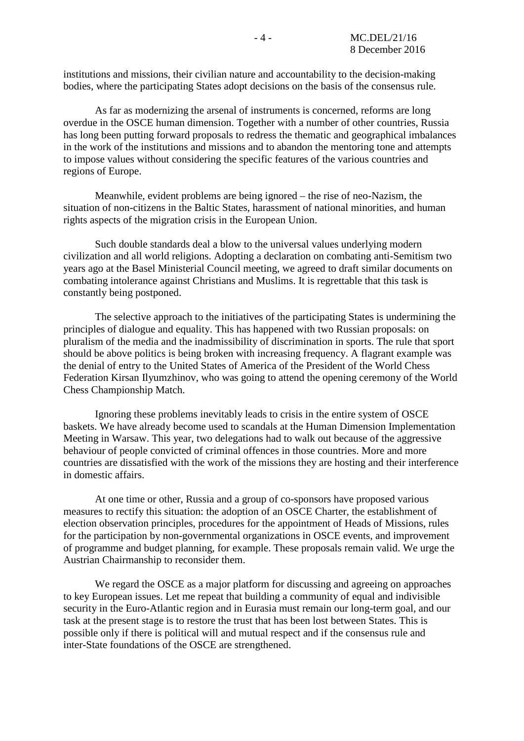institutions and missions, their civilian nature and accountability to the decision-making bodies, where the participating States adopt decisions on the basis of the consensus rule.

As far as modernizing the arsenal of instruments is concerned, reforms are long overdue in the OSCE human dimension. Together with a number of other countries, Russia has long been putting forward proposals to redress the thematic and geographical imbalances in the work of the institutions and missions and to abandon the mentoring tone and attempts to impose values without considering the specific features of the various countries and regions of Europe.

Meanwhile, evident problems are being ignored – the rise of neo-Nazism, the situation of non-citizens in the Baltic States, harassment of national minorities, and human rights aspects of the migration crisis in the European Union.

Such double standards deal a blow to the universal values underlying modern civilization and all world religions. Adopting a declaration on combating anti-Semitism two years ago at the Basel Ministerial Council meeting, we agreed to draft similar documents on combating intolerance against Christians and Muslims. It is regrettable that this task is constantly being postponed.

The selective approach to the initiatives of the participating States is undermining the principles of dialogue and equality. This has happened with two Russian proposals: on pluralism of the media and the inadmissibility of discrimination in sports. The rule that sport should be above politics is being broken with increasing frequency. A flagrant example was the denial of entry to the United States of America of the President of the World Chess Federation Kirsan Ilyumzhinov, who was going to attend the opening ceremony of the World Chess Championship Match.

Ignoring these problems inevitably leads to crisis in the entire system of OSCE baskets. We have already become used to scandals at the Human Dimension Implementation Meeting in Warsaw. This year, two delegations had to walk out because of the aggressive behaviour of people convicted of criminal offences in those countries. More and more countries are dissatisfied with the work of the missions they are hosting and their interference in domestic affairs.

At one time or other, Russia and a group of co-sponsors have proposed various measures to rectify this situation: the adoption of an OSCE Charter, the establishment of election observation principles, procedures for the appointment of Heads of Missions, rules for the participation by non-governmental organizations in OSCE events, and improvement of programme and budget planning, for example. These proposals remain valid. We urge the Austrian Chairmanship to reconsider them.

We regard the OSCE as a major platform for discussing and agreeing on approaches to key European issues. Let me repeat that building a community of equal and indivisible security in the Euro-Atlantic region and in Eurasia must remain our long-term goal, and our task at the present stage is to restore the trust that has been lost between States. This is possible only if there is political will and mutual respect and if the consensus rule and inter-State foundations of the OSCE are strengthened.